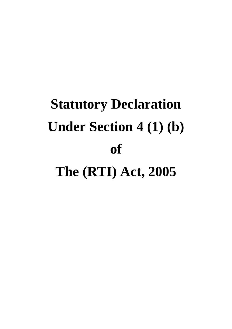# **Statutory Declaration Under Section 4 (1) (b) of The (RTI) Act, 2005**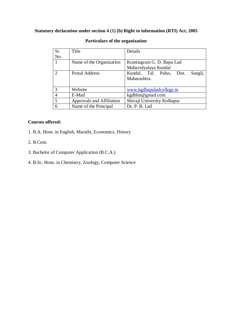## **Statutory declaration under section 4 (1) (b) Right to information (RTI) Act, 2005**

| Sr.            | Title                     | Details                              |  |
|----------------|---------------------------|--------------------------------------|--|
| No.            |                           |                                      |  |
|                | Name of the Organization  | Krantiagrani G. D. Bapu Lad          |  |
|                |                           | Mahavidyalaya Kundal                 |  |
| $\mathcal{D}$  | <b>Postal Address</b>     | Kundal, Tal. Palus, Dist.<br>Sangli, |  |
|                |                           | Maharashtra.                         |  |
|                |                           |                                      |  |
| 3              | Website                   | www.kgdbapuladcollege.in             |  |
| $\overline{4}$ | E-Mail                    | kgdblm@gmail.com                     |  |
| 5              | Approvals and Affiliation | Shivaji University Kolhapur          |  |
| 6              | Name of the Principal     | Dr. P. B. Lad                        |  |

#### **Particulars of the organization**

### **Courses offered:**

- 1. B.A. Hons. in English, Marathi, Economics, History
- 2. B.Com.
- 3. Bachelor of Computer Application (B.C.A.)
- 4. B.Sc. Hons. in Chemistry, Zoology, Computer Science